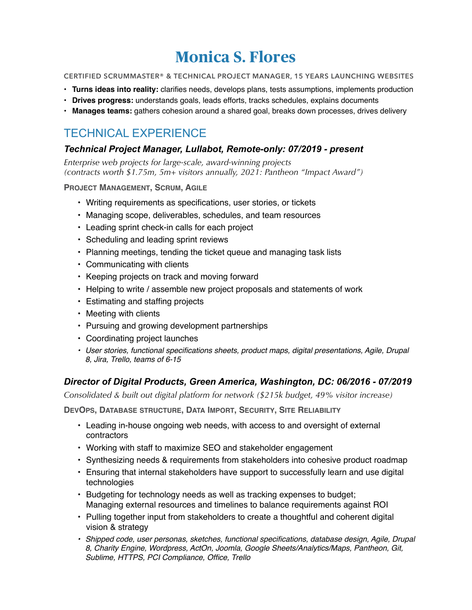# **Monica S. Flores**

**CERTIFIED SCRUMMASTER® & TECHNICAL PROJECT MANAGER, 15 YEARS LAUNCHING WEBSITES**

- **Turns ideas into reality:** clarifies needs, develops plans, tests assumptions, implements production
- **Drives progress:** understands goals, leads efforts, tracks schedules, explains documents
- **Manages teams:** gathers cohesion around a shared goal, breaks down processes, drives delivery

### TECHNICAL EXPERIENCE

#### *Technical Project Manager, Lullabot, Remote-only: 07/2019 - present*

*Enterprise web projects for large-scale, award-winning projects (contracts worth \$1.75m, 5m+ visitors annually, 2021: Pantheon "Impact Award")*

**PROJECT MANAGEMENT, SCRUM, AGILE**

- Writing requirements as specifications, user stories, or tickets
- Managing scope, deliverables, schedules, and team resources
- Leading sprint check-in calls for each project
- Scheduling and leading sprint reviews
- Planning meetings, tending the ticket queue and managing task lists
- Communicating with clients
- Keeping projects on track and moving forward
- Helping to write / assemble new project proposals and statements of work
- Estimating and staffing projects
- Meeting with clients
- Pursuing and growing development partnerships
- Coordinating project launches
- *• User stories, functional specifications sheets, product maps, digital presentations, Agile, Drupal 8, Jira, Trello, teams of 6-15*

#### *Director of Digital Products, Green America, Washington, DC: 06/2016 - 07/2019*

*Consolidated & built out digital platform for network (\$215k budget, 49% visitor increase)* 

**DEVOPS, DATABASE STRUCTURE, DATA IMPORT, SECURITY, SITE RELIABILITY**

- Leading in-house ongoing web needs, with access to and oversight of external contractors
- Working with staff to maximize SEO and stakeholder engagement
- Synthesizing needs & requirements from stakeholders into cohesive product roadmap
- Ensuring that internal stakeholders have support to successfully learn and use digital technologies
- Budgeting for technology needs as well as tracking expenses to budget; Managing external resources and timelines to balance requirements against ROI
- Pulling together input from stakeholders to create a thoughtful and coherent digital vision & strategy
- **•** Shipped code, user personas, sketches, functional specifications, database design, Agile, Drupal *8, Charity Engine, Wordpress, ActOn, Joomla, Google Sheets/Analytics/Maps, Pantheon, Git, Sublime, HTTPS, PCI Compliance, Office, Trello*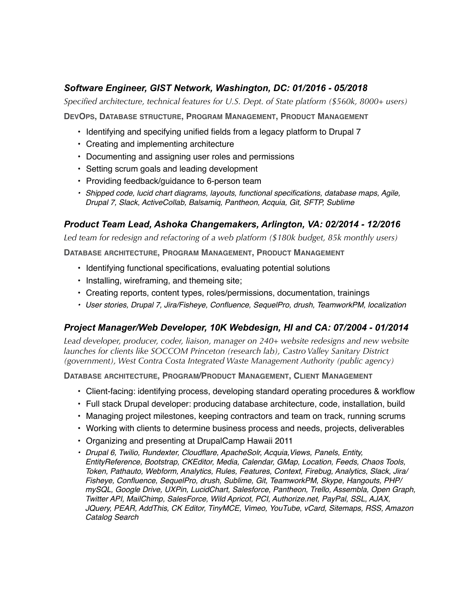#### *Software Engineer, GIST Network, Washington, DC: 01/2016 - 05/2018*

*Specified architecture, technical features for U.S. Dept. of State platform (\$560k, 8000+ users)* 

**DEVOPS, DATABASE STRUCTURE, PROGRAM MANAGEMENT, PRODUCT MANAGEMENT**

- Identifying and specifying unified fields from a legacy platform to Drupal 7
- Creating and implementing architecture
- Documenting and assigning user roles and permissions
- Setting scrum goals and leading development
- Providing feedback/guidance to 6-person team
- *• Shipped code, lucid chart diagrams, layouts, functional specifications, database maps, Agile, Drupal 7, Slack, ActiveCollab, Balsamiq, Pantheon, Acquia, Git, SFTP, Sublime*

#### *Product Team Lead, Ashoka Changemakers, Arlington, VA: 02/2014 - 12/2016*

*Led team for redesign and refactoring of a web platform (\$180k budget, 85k monthly users)*

**DATABASE ARCHITECTURE, PROGRAM MANAGEMENT, PRODUCT MANAGEMENT**

- Identifying functional specifications, evaluating potential solutions
- Installing, wireframing, and themeing site;
- Creating reports, content types, roles/permissions, documentation, trainings
- *• User stories, Drupal 7, Jira/Fisheye, Confluence, SequelPro, drush, TeamworkPM, localization*

#### *Project Manager/Web Developer, 10K Webdesign, HI and CA: 07/2004 - 01/2014*

*Lead developer, producer, coder, liaison, manager on 240+ website redesigns and new website launches for clients like SOCCOM Princeton (research lab), Castro Valley Sanitary District (government), West Contra Costa Integrated Waste Management Authority (public agency)*

**DATABASE ARCHITECTURE, PROGRAM/PRODUCT MANAGEMENT, CLIENT MANAGEMENT**

- Client-facing: identifying process, developing standard operating procedures & workflow
- Full stack Drupal developer: producing database architecture, code, installation, build
- Managing project milestones, keeping contractors and team on track, running scrums
- Working with clients to determine business process and needs, projects, deliverables
- Organizing and presenting at DrupalCamp Hawaii 2011
- *• Drupal 6, Twilio, Rundexter, Cloudflare, ApacheSolr, Acquia,Views, Panels, Entity, EntityReference, Bootstrap, CKEditor, Media, Calendar, GMap, Location, Feeds, Chaos Tools, Token, Pathauto, Webform, Analytics, Rules, Features, Context, Firebug, Analytics, Slack, Jira/ Fisheye, Confluence, SequelPro, drush, Sublime, Git, TeamworkPM, Skype, Hangouts, PHP/ mySQL, Google Drive, UXPin, LucidChart, Salesforce, Pantheon, Trello, Assembla, Open Graph, Twitter API, MailChimp, SalesForce, Wild Apricot, PCI, Authorize.net, PayPal, SSL, AJAX, JQuery, PEAR, AddThis, CK Editor, TinyMCE, Vimeo, YouTube, vCard, Sitemaps, RSS, Amazon Catalog Search*